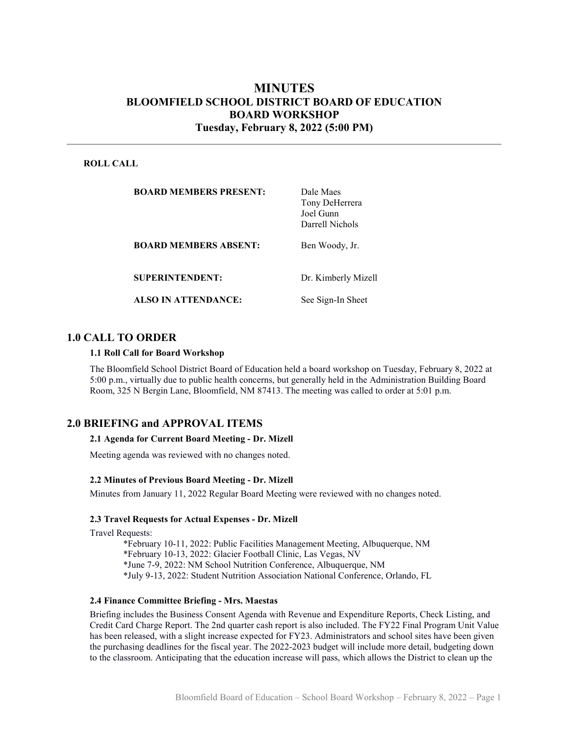# MINUTES BLOOMFIELD SCHOOL DISTRICT BOARD OF EDUCATION BOARD WORKSHOP Tuesday, February 8, 2022 (5:00 PM)

### ROLL CALL

| <b>BOARD MEMBERS PRESENT:</b> | Dale Maes<br>Tony DeHerrera<br>Joel Gunn<br>Darrell Nichols |
|-------------------------------|-------------------------------------------------------------|
| <b>BOARD MEMBERS ABSENT:</b>  | Ben Woody, Jr.                                              |
| <b>SUPERINTENDENT:</b>        | Dr. Kimberly Mizell                                         |
| <b>ALSO IN ATTENDANCE:</b>    | See Sign-In Sheet                                           |

# 1.0 CALL TO ORDER

#### 1.1 Roll Call for Board Workshop

The Bloomfield School District Board of Education held a board workshop on Tuesday, February 8, 2022 at 5:00 p.m., virtually due to public health concerns, but generally held in the Administration Building Board Room, 325 N Bergin Lane, Bloomfield, NM 87413. The meeting was called to order at 5:01 p.m.

## 2.0 BRIEFING and APPROVAL ITEMS

#### 2.1 Agenda for Current Board Meeting - Dr. Mizell

Meeting agenda was reviewed with no changes noted.

#### 2.2 Minutes of Previous Board Meeting - Dr. Mizell

Minutes from January 11, 2022 Regular Board Meeting were reviewed with no changes noted.

#### 2.3 Travel Requests for Actual Expenses - Dr. Mizell

Travel Requests:

\*February 10-11, 2022: Public Facilities Management Meeting, Albuquerque, NM \*February 10-13, 2022: Glacier Football Clinic, Las Vegas, NV \*June 7-9, 2022: NM School Nutrition Conference, Albuquerque, NM \*July 9-13, 2022: Student Nutrition Association National Conference, Orlando, FL

#### 2.4 Finance Committee Briefing - Mrs. Maestas

Briefing includes the Business Consent Agenda with Revenue and Expenditure Reports, Check Listing, and Credit Card Charge Report. The 2nd quarter cash report is also included. The FY22 Final Program Unit Value has been released, with a slight increase expected for FY23. Administrators and school sites have been given the purchasing deadlines for the fiscal year. The 2022-2023 budget will include more detail, budgeting down to the classroom. Anticipating that the education increase will pass, which allows the District to clean up the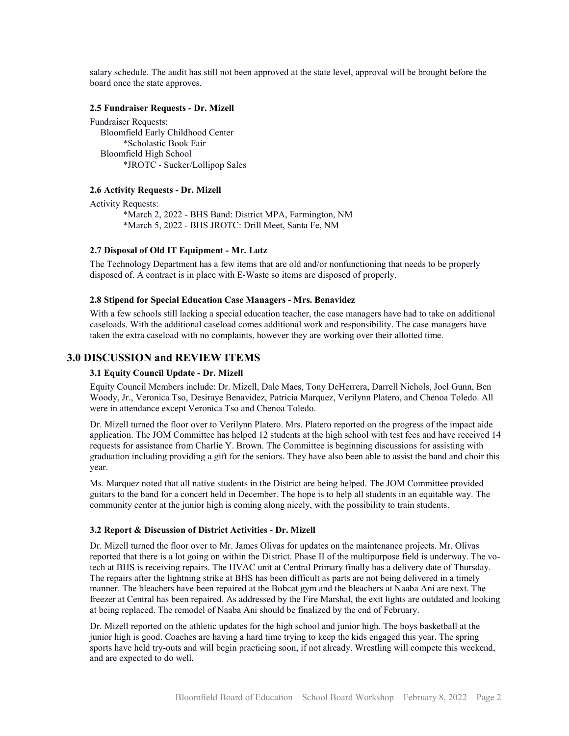salary schedule. The audit has still not been approved at the state level, approval will be brought before the board once the state approves.

#### 2.5 Fundraiser Requests - Dr. Mizell

Fundraiser Requests: Bloomfield Early Childhood Center \*Scholastic Book Fair Bloomfield High School \*JROTC - Sucker/Lollipop Sales

#### 2.6 Activity Requests - Dr. Mizell

Activity Requests: \*March 2, 2022 - BHS Band: District MPA, Farmington, NM \*March 5, 2022 - BHS JROTC: Drill Meet, Santa Fe, NM

### 2.7 Disposal of Old IT Equipment - Mr. Lutz

The Technology Department has a few items that are old and/or nonfunctioning that needs to be properly disposed of. A contract is in place with E-Waste so items are disposed of properly.

#### 2.8 Stipend for Special Education Case Managers - Mrs. Benavidez

With a few schools still lacking a special education teacher, the case managers have had to take on additional caseloads. With the additional caseload comes additional work and responsibility. The case managers have taken the extra caseload with no complaints, however they are working over their allotted time.

## 3.0 DISCUSSION and REVIEW ITEMS

### 3.1 Equity Council Update - Dr. Mizell

Equity Council Members include: Dr. Mizell, Dale Maes, Tony DeHerrera, Darrell Nichols, Joel Gunn, Ben Woody, Jr., Veronica Tso, Desiraye Benavidez, Patricia Marquez, Verilynn Platero, and Chenoa Toledo. All were in attendance except Veronica Tso and Chenoa Toledo.

Dr. Mizell turned the floor over to Verilynn Platero. Mrs. Platero reported on the progress of the impact aide application. The JOM Committee has helped 12 students at the high school with test fees and have received 14 requests for assistance from Charlie Y. Brown. The Committee is beginning discussions for assisting with graduation including providing a gift for the seniors. They have also been able to assist the band and choir this year.

Ms. Marquez noted that all native students in the District are being helped. The JOM Committee provided guitars to the band for a concert held in December. The hope is to help all students in an equitable way. The community center at the junior high is coming along nicely, with the possibility to train students.

#### 3.2 Report & Discussion of District Activities - Dr. Mizell

Dr. Mizell turned the floor over to Mr. James Olivas for updates on the maintenance projects. Mr. Olivas reported that there is a lot going on within the District. Phase II of the multipurpose field is underway. The votech at BHS is receiving repairs. The HVAC unit at Central Primary finally has a delivery date of Thursday. The repairs after the lightning strike at BHS has been difficult as parts are not being delivered in a timely manner. The bleachers have been repaired at the Bobcat gym and the bleachers at Naaba Ani are next. The freezer at Central has been repaired. As addressed by the Fire Marshal, the exit lights are outdated and looking at being replaced. The remodel of Naaba Ani should be finalized by the end of February.

Dr. Mizell reported on the athletic updates for the high school and junior high. The boys basketball at the junior high is good. Coaches are having a hard time trying to keep the kids engaged this year. The spring sports have held try-outs and will begin practicing soon, if not already. Wrestling will compete this weekend, and are expected to do well.